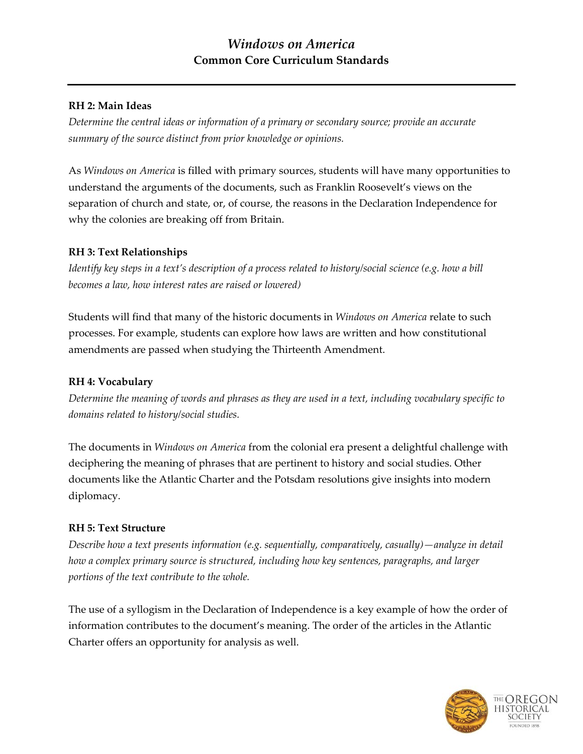# **RH 2: Main Ideas**

*Determine the central ideas or information of a primary or secondary source; provide an accurate summary of the source distinct from prior knowledge or opinions.*

As *Windows on America* is filled with primary sources, students will have many opportunities to understand the arguments of the documents, such as Franklin Roosevelt's views on the separation of church and state, or, of course, the reasons in the Declaration Independence for why the colonies are breaking off from Britain.

## **RH 3: Text Relationships**

*Identify key steps in a text's description of a process related to history/social science (e.g. how a bill becomes a law, how interest rates are raised or lowered)*

Students will find that many of the historic documents in *Windows on America* relate to such processes. For example, students can explore how laws are written and how constitutional amendments are passed when studying the Thirteenth Amendment.

# **RH 4: Vocabulary**

*Determine the meaning of words and phrases as they are used in a text, including vocabulary specific to domains related to history/social studies.*

The documents in *Windows on America* from the colonial era present a delightful challenge with deciphering the meaning of phrases that are pertinent to history and social studies. Other documents like the Atlantic Charter and the Potsdam resolutions give insights into modern diplomacy.

### **RH 5: Text Structure**

*Describe how a text presents information (e.g. sequentially, comparatively, casually)—analyze in detail how a complex primary source is structured, including how key sentences, paragraphs, and larger portions of the text contribute to the whole.*

The use of a syllogism in the Declaration of Independence is a key example of how the order of information contributes to the document's meaning. The order of the articles in the Atlantic Charter offers an opportunity for analysis as well.